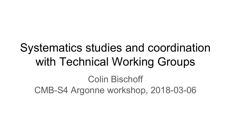# Systematics studies and coordination with Technical Working Groups

Colin Bischoff CMB-S4 Argonne workshop, 2018-03-06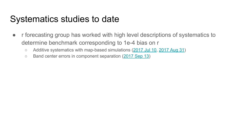# Systematics studies to date

- r forecasting group has worked with high level descriptions of systematics to determine benchmark corresponding to 1e-4 bias on r
	- Additive systematics with map-based simulations [\(2017 Jul 10](https://cmb-s4.org/CMB-S4workshops/index.php/Additive_systematics_for_data_challenge_03), [2017 Aug 31\)](https://cmb-s4.org/CMB-S4workshops/index.php/Bias_on_r_from_additive_systematics)
	- Band center errors in component separation ([2017 Sep 13](https://cmb-s4.org/CMB-S4workshops/index.php/Bias_on_r_from_Band_Center_Errors))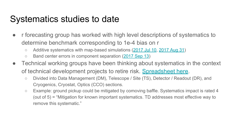# Systematics studies to date

- If forecasting group has worked with high level descriptions of systematics to determine benchmark corresponding to 1e-4 bias on r
	- Additive systematics with map-based simulations [\(2017 Jul 10](https://cmb-s4.org/CMB-S4workshops/index.php/Additive_systematics_for_data_challenge_03), [2017 Aug 31\)](https://cmb-s4.org/CMB-S4workshops/index.php/Bias_on_r_from_additive_systematics)
	- Band center errors in component separation ([2017 Sep 13](https://cmb-s4.org/CMB-S4workshops/index.php/Bias_on_r_from_Band_Center_Errors))
- Technical working groups have been thinking about systematics in the context of technical development projects to retire risk. [Spreadsheet here.](https://docs.google.com/spreadsheets/d/101ncyzfDAHrTF9O0rTPRGbX6dqut_WdfVA7-2ck9qGQ/edit#gid=1314923368)
	- Divided into Data Management (DM), Telescope / Site (TS), Detector / Readout (DR), and Cryogenics, Cryostat, Optics (CCO) sections.
	- Example: ground pickup could be mitigated by comoving baffle. Systematics impact is rated 4 (out of 5) = "Mitigation for known important systematics. TD addresses most effective way to remove this systematic."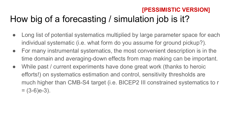### How big of a forecasting / simulation job is it? **[PESSIMISTIC VERSION]**

- Long list of potential systematics multiplied by large parameter space for each individual systematic (i.e. what form do you assume for ground pickup?).
- For many instrumental systematics, the most convenient description is in the time domain and averaging-down effects from map making can be important.
- While past / current experiments have done great work (thanks to heroic efforts!) on systematics estimation and control, sensitivity thresholds are much higher than CMB-S4 target (i.e. BICEP2 III constrained systematics to r  $=$  (3-6)e-3).